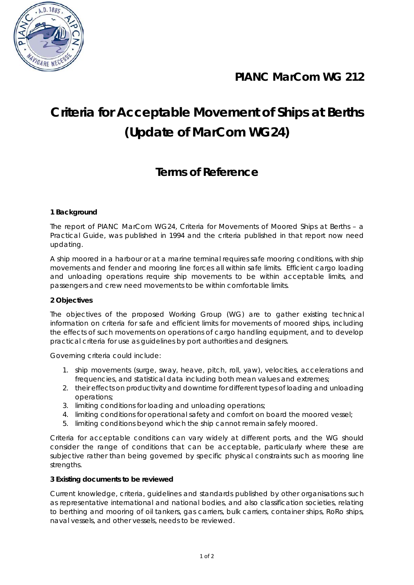## **PIANC MarCom WG 212**



# **Criteria for Acceptable Movement of Ships at Berths (Update of MarCom WG24)**

### **Terms of Reference**

#### **1 Background**

The report of PIANC MarCom WG24, *Criteria for Movements of Moored Ships at Berths – a Practical Guide*, was published in 1994 and the criteria published in that report now need updating.

A ship moored in a harbour or at a marine terminal requires safe mooring conditions, with ship movements and fender and mooring line forces all within safe limits. Efficient cargo loading and unloading operations require ship movements to be within acceptable limits, and passengers and crew need movements to be within comfortable limits.

#### **2 Objectives**

The objectives of the proposed Working Group (WG) are to gather existing technical information on criteria for safe and efficient limits for movements of moored ships, including the effects of such movements on operations of cargo handling equipment, and to develop practical criteria for use as guidelines by port authorities and designers.

Governing criteria could include:

- 1. ship movements (surge, sway, heave, pitch, roll, yaw), velocities, accelerations and frequencies, and statistical data including both mean values and extremes;
- 2. their effects on productivity and downtime for different types of loading and unloading operations;
- 3. limiting conditions for loading and unloading operations;
- 4. limiting conditions for operational safety and comfort on board the moored vessel;
- 5. limiting conditions beyond which the ship cannot remain safely moored.

Criteria for acceptable conditions can vary widely at different ports, and the WG should consider the range of conditions that can be acceptable, particularly where these are subjective rather than being governed by specific physical constraints such as mooring line strengths.

#### **3 Existing documents to be reviewed**

Current knowledge, criteria, guidelines and standards published by other organisations such as representative international and national bodies, and also classification societies, relating to berthing and mooring of oil tankers, gas carriers, bulk carriers, container ships, RoRo ships, naval vessels, and other vessels, needs to be reviewed.